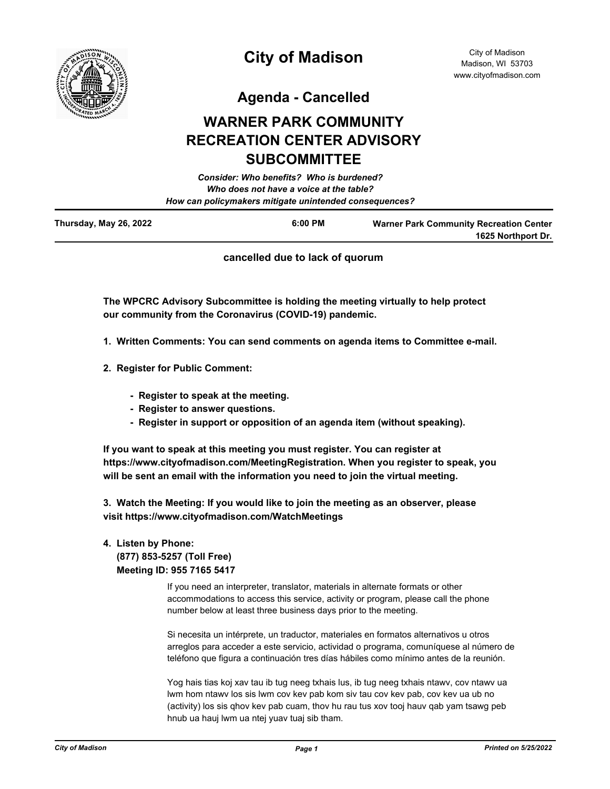

**Agenda - Cancelled**

# **WARNER PARK COMMUNITY RECREATION CENTER ADVISORY SUBCOMMITTEE**

| Thursday May 20 2022 | C.OO DM                                                | We see a so Dayle Commission in the Department Contain |
|----------------------|--------------------------------------------------------|--------------------------------------------------------|
|                      | How can policymakers mitigate unintended consequences? |                                                        |
|                      | Who does not have a voice at the table?                |                                                        |
|                      | <b>Consider: Who benefits? Who is burdened?</b>        |                                                        |
|                      |                                                        |                                                        |

| Thursday, May 26, 2022 | 6:00 PM | <b>Warner Park Community Recreation Center</b> |
|------------------------|---------|------------------------------------------------|
|                        |         | 1625 Northport Dr.                             |
|                        |         |                                                |

**cancelled due to lack of quorum**

**The WPCRC Advisory Subcommittee is holding the meeting virtually to help protect our community from the Coronavirus (COVID-19) pandemic.**

- **1. Written Comments: You can send comments on agenda items to Committee e-mail.**
- **2. Register for Public Comment:**
	- **Register to speak at the meeting.**
	- **Register to answer questions.**
	- **Register in support or opposition of an agenda item (without speaking).**

**If you want to speak at this meeting you must register. You can register at https://www.cityofmadison.com/MeetingRegistration. When you register to speak, you will be sent an email with the information you need to join the virtual meeting.**

**3. Watch the Meeting: If you would like to join the meeting as an observer, please visit https://www.cityofmadison.com/WatchMeetings**

# **4. Listen by Phone: (877) 853-5257 (Toll Free) Meeting ID: 955 7165 5417**

If you need an interpreter, translator, materials in alternate formats or other accommodations to access this service, activity or program, please call the phone number below at least three business days prior to the meeting.

Si necesita un intérprete, un traductor, materiales en formatos alternativos u otros arreglos para acceder a este servicio, actividad o programa, comuníquese al número de teléfono que figura a continuación tres días hábiles como mínimo antes de la reunión.

Yog hais tias koj xav tau ib tug neeg txhais lus, ib tug neeg txhais ntawv, cov ntawv ua lwm hom ntawv los sis lwm cov kev pab kom siv tau cov kev pab, cov kev ua ub no (activity) los sis qhov kev pab cuam, thov hu rau tus xov tooj hauv qab yam tsawg peb hnub ua hauj lwm ua ntej yuav tuaj sib tham.